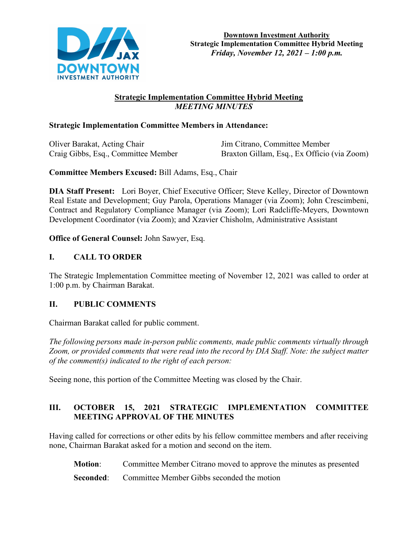

# **Strategic Implementation Committee Hybrid Meeting**  *MEETING MINUTES*

## **Strategic Implementation Committee Members in Attendance:**

Oliver Barakat, Acting Chair Jim Citrano, Committee Member

Craig Gibbs, Esq., Committee Member Braxton Gillam, Esq., Ex Officio (via Zoom)

**Committee Members Excused:** Bill Adams, Esq., Chair

**DIA Staff Present:** Lori Boyer, Chief Executive Officer; Steve Kelley, Director of Downtown Real Estate and Development; Guy Parola, Operations Manager (via Zoom); John Crescimbeni, Contract and Regulatory Compliance Manager (via Zoom); Lori Radcliffe-Meyers, Downtown Development Coordinator (via Zoom); and Xzavier Chisholm, Administrative Assistant

**Office of General Counsel:** John Sawyer, Esq.

## **I. CALL TO ORDER**

The Strategic Implementation Committee meeting of November 12, 2021 was called to order at 1:00 p.m. by Chairman Barakat.

## **II. PUBLIC COMMENTS**

Chairman Barakat called for public comment.

*The following persons made in-person public comments, made public comments virtually through Zoom, or provided comments that were read into the record by DIA Staff. Note: the subject matter of the comment(s) indicated to the right of each person:*

Seeing none, this portion of the Committee Meeting was closed by the Chair.

# **III. OCTOBER 15, 2021 STRATEGIC IMPLEMENTATION COMMITTEE MEETING APPROVAL OF THE MINUTES**

Having called for corrections or other edits by his fellow committee members and after receiving none, Chairman Barakat asked for a motion and second on the item.

**Motion**: Committee Member Citrano moved to approve the minutes as presented

**Seconded:** Committee Member Gibbs seconded the motion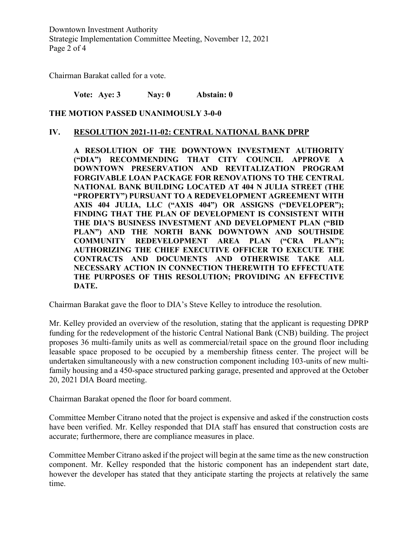Downtown Investment Authority Strategic Implementation Committee Meeting, November 12, 2021 Page 2 of 4

Chairman Barakat called for a vote.

**Vote: Aye: 3 Nay: 0 Abstain: 0** 

### **THE MOTION PASSED UNANIMOUSLY 3-0-0**

#### **IV. RESOLUTION 2021-11-02: CENTRAL NATIONAL BANK DPRP**

**A RESOLUTION OF THE DOWNTOWN INVESTMENT AUTHORITY ("DIA") RECOMMENDING THAT CITY COUNCIL APPROVE A DOWNTOWN PRESERVATION AND REVITALIZATION PROGRAM FORGIVABLE LOAN PACKAGE FOR RENOVATIONS TO THE CENTRAL NATIONAL BANK BUILDING LOCATED AT 404 N JULIA STREET (THE "PROPERTY") PURSUANT TO A REDEVELOPMENT AGREEMENT WITH AXIS 404 JULIA, LLC ("AXIS 404") OR ASSIGNS ("DEVELOPER"); FINDING THAT THE PLAN OF DEVELOPMENT IS CONSISTENT WITH THE DIA'S BUSINESS INVESTMENT AND DEVELOPMENT PLAN ("BID PLAN") AND THE NORTH BANK DOWNTOWN AND SOUTHSIDE COMMUNITY REDEVELOPMENT AREA PLAN ("CRA PLAN"); AUTHORIZING THE CHIEF EXECUTIVE OFFICER TO EXECUTE THE CONTRACTS AND DOCUMENTS AND OTHERWISE TAKE ALL NECESSARY ACTION IN CONNECTION THEREWITH TO EFFECTUATE THE PURPOSES OF THIS RESOLUTION; PROVIDING AN EFFECTIVE DATE.**

Chairman Barakat gave the floor to DIA's Steve Kelley to introduce the resolution.

Mr. Kelley provided an overview of the resolution, stating that the applicant is requesting DPRP funding for the redevelopment of the historic Central National Bank (CNB) building. The project proposes 36 multi-family units as well as commercial/retail space on the ground floor including leasable space proposed to be occupied by a membership fitness center. The project will be undertaken simultaneously with a new construction component including 103-units of new multifamily housing and a 450-space structured parking garage, presented and approved at the October 20, 2021 DIA Board meeting.

Chairman Barakat opened the floor for board comment.

Committee Member Citrano noted that the project is expensive and asked if the construction costs have been verified. Mr. Kelley responded that DIA staff has ensured that construction costs are accurate; furthermore, there are compliance measures in place.

Committee Member Citrano asked if the project will begin at the same time as the new construction component. Mr. Kelley responded that the historic component has an independent start date, however the developer has stated that they anticipate starting the projects at relatively the same time.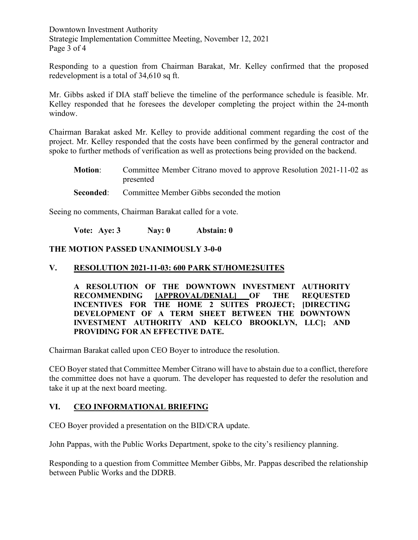Downtown Investment Authority Strategic Implementation Committee Meeting, November 12, 2021 Page 3 of 4

Responding to a question from Chairman Barakat, Mr. Kelley confirmed that the proposed redevelopment is a total of 34,610 sq ft.

Mr. Gibbs asked if DIA staff believe the timeline of the performance schedule is feasible. Mr. Kelley responded that he foresees the developer completing the project within the 24-month window.

Chairman Barakat asked Mr. Kelley to provide additional comment regarding the cost of the project. Mr. Kelley responded that the costs have been confirmed by the general contractor and spoke to further methods of verification as well as protections being provided on the backend.

- **Motion**: Committee Member Citrano moved to approve Resolution 2021-11-02 as presented
- **Seconded:** Committee Member Gibbs seconded the motion

Seeing no comments, Chairman Barakat called for a vote.

**Vote: Aye: 3 Nay: 0 Abstain: 0** 

### **THE MOTION PASSED UNANIMOUSLY 3-0-0**

### **V. RESOLUTION 2021-11-03: 600 PARK ST/HOME2SUITES**

**A RESOLUTION OF THE DOWNTOWN INVESTMENT AUTHORITY RECOMMENDING [APPROVAL/DENIAL] OF THE REQUESTED INCENTIVES FOR THE HOME 2 SUITES PROJECT; [DIRECTING DEVELOPMENT OF A TERM SHEET BETWEEN THE DOWNTOWN INVESTMENT AUTHORITY AND KELCO BROOKLYN, LLC]; AND PROVIDING FOR AN EFFECTIVE DATE.**

Chairman Barakat called upon CEO Boyer to introduce the resolution.

CEO Boyer stated that Committee Member Citrano will have to abstain due to a conflict, therefore the committee does not have a quorum. The developer has requested to defer the resolution and take it up at the next board meeting.

### **VI. CEO INFORMATIONAL BRIEFING**

CEO Boyer provided a presentation on the BID/CRA update.

John Pappas, with the Public Works Department, spoke to the city's resiliency planning.

Responding to a question from Committee Member Gibbs, Mr. Pappas described the relationship between Public Works and the DDRB.